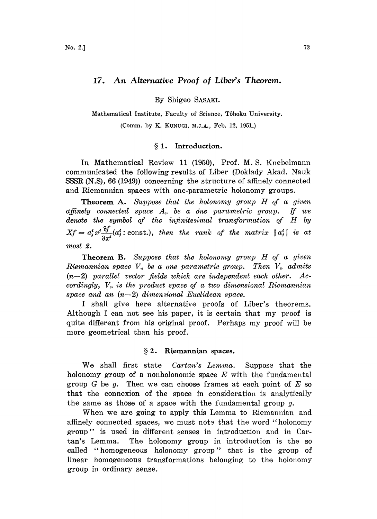# 17. An Alternative Proof of Liber's Theorem.

By Shigeo SASAKI.

Mathematical Institute, Faculty of Science, Tôhoku University.

(Comm. by K. KUNUGI, M.J.A., Feb. 12, 1951.)

### § 1. Introduction.

Ia Mathematical Review 11 (1950), Prof. M.S. Knebelmann communicated the following results of Liber (Doklady Akad. Nauk SSSR (N.S), 66 (1949)) concerning the structure of affinely connected and Riemannian spaces with one-parametric holonomy groups.

**Theorem A.** Suppose that the holonomy group  $H$  of a given affinely connected space  $A_n$  be a one parametric group. If we denote the symbol of the infinitesimal transformation of  $H$  by  $Xf = a_i^i x^j \frac{\partial f}{\partial x^i} (a_i^i: \text{const.})$ , then the rank of the matrix  $||a_i^i||$  is at most 2.

Theorem B. Suppose that the holonomy group H of a given Riemannian space  $V_n$  be a one parametric group. Then  $V_n$  admits  $(n-2)$  parallel vector fields which are independent each other. Accordingly,  $V_n$  is the product space of a two dimensional Riemannian space and an  $(n-2)$  dimensional Euclidean space.

<sup>I</sup> shall give here alternative proofs of Liber's theorems. Although <sup>I</sup> can aot see his paper, it is certain that my proof is quite different from his original proof. Perhaps my proof will be more geometrical than his proof.

#### 2. Riemannian spaces.

We shall first state *Cartan's Lemma*. Suppose that the holonomy group of a nonholonomic space  $E$  with the fundamental group  $G$  be  $g$ . Then we can choose frames at each point of  $E$  so hat the connexion of the space in consideration is analytically the same as those of a space with the fundamental group  $q$ .

When we are going to apply this Lemma to Riemannian and affinely connected spaces, we must note that the word "holonomy group" is used in different senses in introduction and in Cartan's Lemma. The holonomy group in introduction is the so called "homogeneous holonomy group" that is the group of linear homogeneous transformations belonging to the holonomy group in ordinary sease.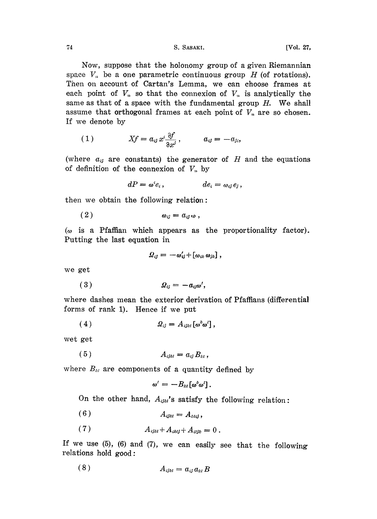74 S. SAShK. [Vol. 27,

Now, suppose that the holonomy group of a given Riemannian space  $V_n$  be a one parametric continuous group H (of rotations). Then on account of Cartan's Lemma, we can choose frames at each point of  $V_n$  so that the connexion of  $V_n$  is analytically the same as that of a space with the fundamental group  $H$ . We shall assume that orthogonal frames at each point of  $V_n$  are so chosen. If we denote by

$$
(1) \t Xf = a_{ij} x^i \frac{\partial f}{\partial x^j}, \t a_{ij} = -a_{ji},
$$

(where  $a_{ij}$  are constants) the generator of H and the equations. of definition of the connexion of  $V_n$  by

$$
dP = \omega^i e_i, \qquad \qquad de_i = \omega_{ij} e_j,
$$

then we obtain the following relation:

$$
(2) \t\t\t\t\t\omega_{ij} = a_{ij}\omega,
$$

 $(\omega)$  is a Pfaffian which appears as the proportionality factor). Putting the last equation ia

$$
\varOmega_{ij} = -\omega'_{ij} + [\omega_{ik}\,\omega_{jk}] \ ,
$$

we get

( <sup>3</sup> ) T2, -a;,

where dashes mean the exterior derivation of Pfaffians (differential forms of rank 1). Hence if we put

.( <sup>4</sup> .gv Av [%],

wet get

$$
(5) \t A_{ijkl} = a_{ij} B_{kl},
$$

where  $B_{kl}$  are components of a quantity defined by

$$
\omega'=-B_{kl}[\omega^k\omega']\,.
$$

On the other hand,  $A_{ijkl}$ 's satisfy the following relation:

- (6)  $A_{ijkl} = A_{klij}$ ,
- (7)  $A_{ijkl} + A_{ikli} + A_{jli} = 0$ .

If we use  $(5)$ ,  $(6)$  and  $(7)$ , we can easily see that the following relations hold good:

$$
(8) \t A_{ijkl} = a_{ij} a_{kl} B
$$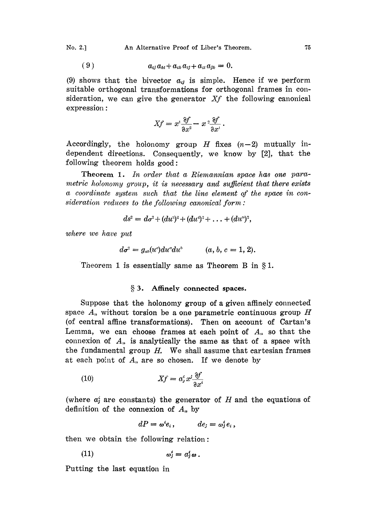No. 2.] An Alternative Proof of Liber's Theorem. <sup>75</sup>

$$
(9) \qquad a_{ij}a_{kl}+a_{ik}a_{lj}+a_{il}a_{jk}=0
$$

(9) shows that the bivector  $a_{ij}$  is simple. Hence if we perform suitable orthogonal transformations for orthogonal frames in consideration, we can give the generator  $Xf$  the following canonical expression:

$$
Xf = x^1 \frac{\partial f}{\partial x^2} - x^2 \frac{\partial f}{\partial x^1}.
$$

Accordingly, the holonomy group  $H$  fixes  $(n-2)$  mutually independent directions. Consequently, we know by [2], that the following theorem holds good:

Theorem 1. In order that a Riemannian space has one parametric holonomy group, it is necessary and sufficient that there exists a coordinate system such that the line element of the space in consideration reduces to the following canonical form:

$$
ds^2 = d\sigma^2 + (du^3)^2 + (du^4)^2 + \ldots + (du^n)^2,
$$

where we have put

$$
d\sigma^2 = g_{ab}(u^c) du^c du^b \qquad (a, b, c = 1, 2).
$$

Theorem 1 is essentially same as Theorem B in  $\S1$ .

## § 3. Affinely connected spaces.

Suppose that the holonomy group of a given affinely connected space  $A_n$  without torsion be a one parametric continuous group H (of central affine transformations). Then on account of Cartan's Lemma, we can choose frames at each point of  $A_n$  so that the connexion of  $A_n$  is analytically the same as that of a space with the fundamental group  $H$ . We shall assume that cartesian frames at each point of  $A_n$  are so chosen. If we denote by

xf ai. .

(where  $a_j^i$  are constants) the generator of H and the equations of definition of the connexion of  $A_n$  by

$$
dP = \omega^i e_i, \qquad \quad de_j = \omega^i_j e_i,
$$

then we obtain the following relation:

$$
\omega_j^i = a_j^i \omega.
$$

Putting the last equation in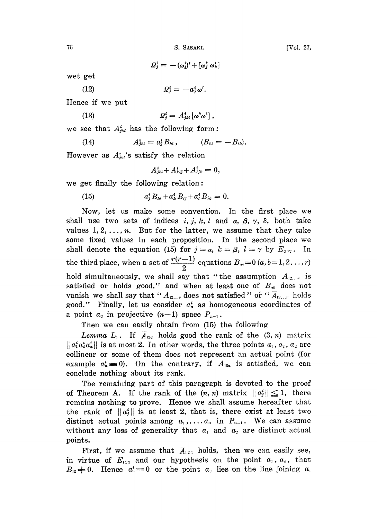76 S. SASAKI. [Vol. 27,

 $\varOmega_{j}^{i}=-\left(\omega_{j}^{i}\right)'+\left[\omega_{j}^{k}\,\omega_{k}^{i}\right]$ 

wet get

(12)  $Q_i^i = -a_i^i \omega'.$ 

Hence if we put

(13) 
$$
\mathcal{Q}_j^i = A_{jkl}^i [\boldsymbol{\omega}^k \boldsymbol{\omega}^l],
$$

we see that  $A_{jkl}^i$  has the following form:

(14) 
$$
A_{jkl}^i = a_j^* B_{kl}, \qquad (B_{kl} = -B_{lk}).
$$

However as  $A_{jkl}^*$ 's satisfy the relation

$$
A_{jkl}^i + A_{klj}^i + A_{ljk}^i = 0,
$$

we get finally the following relation:

 $a_i^i B_{kl} + a_k^i B_{li} + a_l^i B_{ik} = 0.$ (15)

Now, let us make some convention. In the first place we shall use two sets of indices i, j, k, l and a,  $\beta$ ,  $\gamma$ ,  $\delta$ , both take values  $1, 2, \ldots, n$ . But for the latter, we assume that they take some fixed values in each proposition. In the second place we shall denote the equation (15) for  $j=a, k=\beta, l=\gamma$  by  $E_{\alpha, \gamma}$ . In the third place, when a set of  $\frac{r(r-1)}{2}$  equations  $B_{a} = 0$   $(a, b=1,2... ,r)$ hold simultaneously, we shall say that "the assumption  $A_{12...r}$  is satisfied or holds good," and when at least one of  $B_{ab}$  does not vanish we shall say that " $A_{12...r}$  does not satisfied" or " $\overline{A}_{12...r}$  holds good." Finally, let us consider  $a_{\alpha}^{i}$  as homogeneous coordinates of a point  $a_{\alpha}$  in projective  $(n-1)$  space  $P_{n-1}$ .

Then we can easily obtain from (15) the following

Lemma  $L_1$ . If  $A_{12a}$  holds good the rank of the  $(3, n)$  matrix  $||a_1^i a_2^i a_3^i||$  is at most 2. In other words, the three points  $a_1, a_2, a_3$  are colliuear or some of them does not represent an actual point (for example  $a^*_{\sigma} \equiv 0$ . On the contrary, if  $A_{12\sigma}$  is satisfied, we can conclude nothing about its rank.

The remaining part of this paragraph is devoted to the proof of Theorem A. If the rank of the  $(n, n)$  matrix  $||a_i|| \leq 1$ , there remains nothing to prove. Hence we shall assume hereafter that the rank of  $||a_j||$  is at least 2, that is, there exist at least two distinct actual points among  $a_1, \ldots, a_n$  in  $P_{n-1}$ . We can assume without any loss of generality that  $a_1$  and  $a_2$  are distinct actual points.

First, if we assume that  $\overline{A}_{123}$  holds, then we can easily see, in virtue of  $E_{123}$  and our hypothesis on the point  $a_1, a_2$ , that  $B_{12} \neq 0$ . Hence  $a_3 = 0$  or the point  $a_3$  lies on the line joining  $a_1$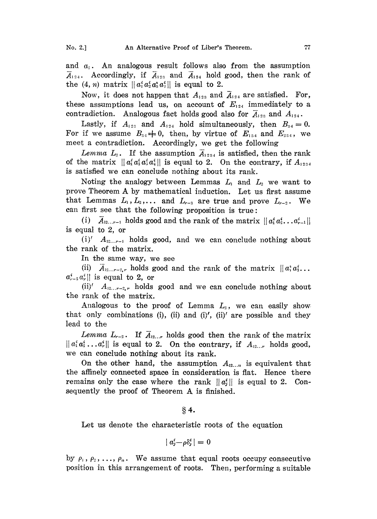and  $a_2$ . An analogous result follows also from the assumption  $\overline{A}_{124}$ . Accordingly, if  $\overline{A}_{123}$  and  $\overline{A}_{124}$  hold good, then the rank of the  $(4, n)$  matrix  $||a_1^i a_2^i a_3^i a_1^i||$  is equal to 2.

Now, it does not happen that  $A_{123}$  and  $A_{124}$  are satisfied. For, these assumptions lead us, on account of  $E_{124}$  immediately to a contradiction. Analogous fact holds good also for  $\overline{A}_{123}$  and  $A_{124}$ .

Lastly, if  $A_{123}$  and  $A_{124}$  hold simultaneously, then  $B_{34} = 0$ . For if we assume  $B_{34} \neq 0$ , then, by virtue of  $E_{134}$  and  $E_{234}$ , we meet a contradiction. Accordingly, we get the following

Lemma  $L_2$ . If the assumption  $\overline{A}_{1234}$  is satisfied, then the rank of the matrix  $||a_1^i a_2^i a_3^i a_4^i||$  is equal to 2. On the contrary, if  $A_{1234}$ is satisfied we can conclude nothing about its rank.

Noting the analogy between Lemmas  $L_1$  and  $L_2$  we want to prove Theorem A by mathematical induction. Let us first assume that Lemmas  $L_1, L_2, \ldots$  and  $L_{r-3}$  are true and prove  $L_{r-2}$ . We can first see that the following proposition is true:

(i)  $A_{12...r-1}$  holds good and the rank of the matrix  $\|a_1^i a_2^i \dots a_{r-1}^i\|$ is equal to 2, or

 $(i)'$   $A_{12...r-1}$  holds good, and we can conclude nothing about the rank of the matrix.

In the same way, we see

(ii)  $A_{12...r-2,r}$  holds good and the rank of the matrix  $||a_1^* a_2^* \dots$  $a_{r-2}^i a_r^i$  is equal to 2, or

(ii)'  $A_{12...r-2,r}$  holds good and we can conclude nothing about the rank of the matrix.

Analogous to the proof of Lemma  $L<sub>2</sub>$ , we can easily show. that only combinations (i), (ii) and (i)', (ii)' are possible and they lead to the

Lemma  $L_{r-2}$ . If  $\overline{A}_{12...r}$  holds good then the rank of the matrix  $\|a_1^i a_2^i \dots a_r^i\|$  is equal to 2. On the contrary, if  $A_{12...r}$  holds good, we can conclude nothing, about its rank.

On the other hand, the assumption  $A_{12...n}$  is equivalent that the affinely connected space in consideration is flat. Hence there remains only the case where the rank  $||a_i||$  is equal to 2. Consequently the proof of Theorem A is finished.

 $§$  4.

Let us denote the characteristic roots of the equation

$$
|a_j^i - \rho \delta_j^i| = 0
$$

by  $\rho_1$ ,  $\rho_2$ , ...,  $\rho_n$ . We assume that equal roots occupy consecutive position in this arrangement of roots. Then, performing a suitable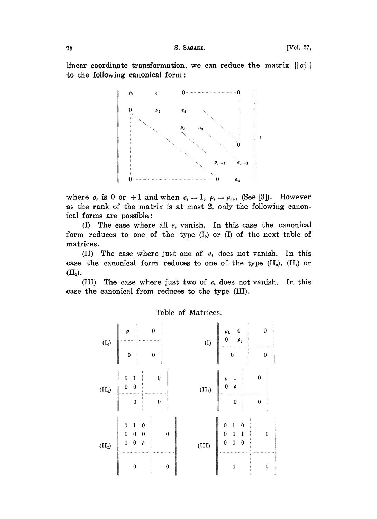linear coordinate transformation, we can reduce the matrix  $||a_j||$ to the following canonical form:



where  $e_i$  is 0 or +1 and when  $e_i = 1$ ,  $\rho_i = \rho_{i+1}$  (See [3]). However as the rank of the matrix is at most 2, only the following canonical forms are possible:

(I) The case where all  $e_i$  vanish. In this case the canonical form reduces to one of the type  $(I_0)$  or  $(I)$  of the next table of matrices.

(II) The case where just one of  $e_i$  does not vanish. In this case the canonical form reduces to one of the type  $(II_0)$ ,  $(II_1)$  or  $(II<sub>2</sub>)$ .

(III) The case where just two of  $e_i$  does not vanish. In this case the canonical from reduces to the type (III).

Table of Matrices.

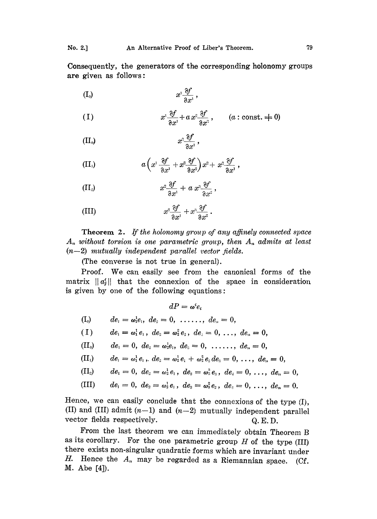Consequently, the generators of the corresponding holonomy groups are given as follows:

$$
(I_0) \t x^1 \frac{\partial f}{\partial x^1},
$$

(1) 
$$
x^{\scriptscriptstyle 1} \frac{\partial f}{\partial x^{\scriptscriptstyle 1}} + a x^{\scriptscriptstyle 2} \frac{\partial f}{\partial x^{\scriptscriptstyle 2}}, \qquad (a:\text{const.} \neq 0)
$$

(II<sub>0</sub>) 
$$
x^2 \frac{\partial f}{\partial x^1},
$$

(II<sub>1</sub>) 
$$
a\left(x^1 \frac{\partial f}{\partial x^1} + x^2 \frac{\partial f}{\partial x^2}\right) x^2 + x^2 \frac{\partial f}{\partial x^1}
$$
,

(II<sub>2</sub>) 
$$
x^2 \frac{\partial f}{\partial x^1} + a x^3 \frac{\partial f}{\partial x^2},
$$

(III) 
$$
x^2 \frac{\partial f}{\partial x^1} + x^3 \frac{\partial f}{\partial x^2}.
$$

Theorem 2. If the holonomy group of any affinely connected space  $A_n$  without torsion is one parametric group, then  $A_n$  admits at least  $(n-2)$  mutually independent parallel vector fields.

(The converse is not true in general).

Proof. We can easily see from the canonical forms of the matrix  $||a_i'||$  that the connexion of the space in consideration is given by one of the following equations:

$$
dP = \omega^i e_i
$$

$$
(I_0) \t de1 = \omega_1^1 e_1, \t de2 = 0, \t .... \t den = 0,
$$

$$
(1) \t de1 = \omega11 e1, de2 = \omega22 e2, de3 = 0, ..., den = 0,
$$

$$
(\mathrm{II}_0) \qquad de_1=0, \; de_2=\omega_2^1e_1, \; de_3=0, \; \ldots \ldots, \; de_n=0,
$$

(II<sub>1</sub>) 
$$
de_1 = \omega_1^1 e_1
$$
,  $de_2 = \omega_2^1 e_1 + \omega_2^2 e_2 de_3 = 0$ , ...,  $de_n = 0$ ,

(II<sub>2</sub>) 
$$
de_1 = 0
$$
,  $de_2 = \omega_2^1 e_1$ ,  $de_3 = \omega_3^3 e_3$ ,  $de_4 = 0$ , ...,  $de_n = 0$ ,

(III) 
$$
de_1 = 0
$$
,  $de_2 = \omega_2^1 e_1$ ,  $de_3 = \omega_3^2 e_2$ ,  $de_4 = 0$ , ...,  $de_n = 0$ .

Hence, we can easily conclude that the connexions of the type (I), (II) and (III) admit  $(n-1)$  and  $(n-2)$  mutually independent parallel vector fields respectively.  $Q.E.D.$ 

From the last theorem we can immediately obtain Theorem B as its corollary. For the one parametric group  $H$  of the type (III) there exists non-singular quadratic forms which are invariant under H. Hence the  $A_n$  may be regarded as a Riemannian space. (Cf. M. Abe [4]).